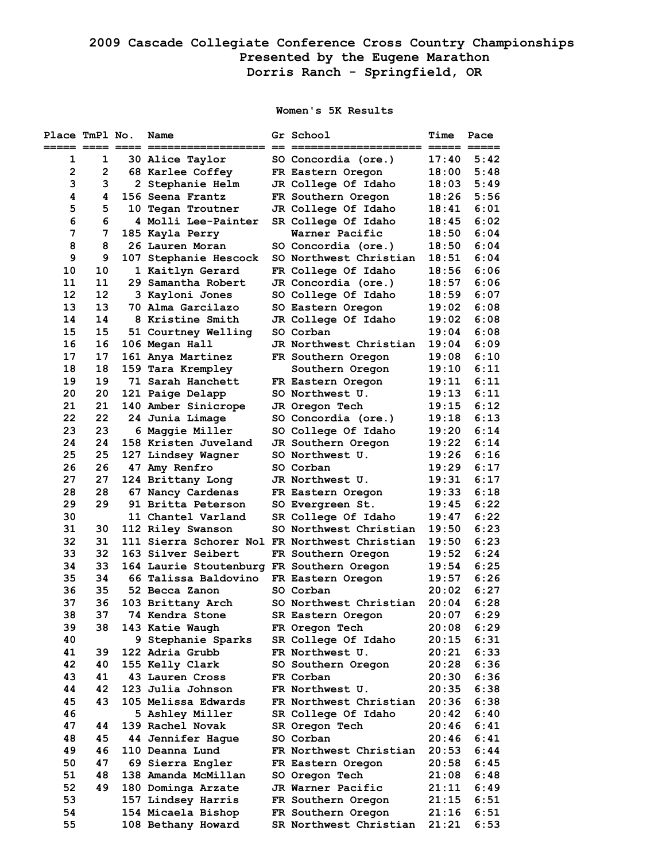## **2009 Cascade Collegiate Conference Cross Country Championships Presented by the Eugene Marathon Dorris Ranch - Springfield, OR**

## **Women's 5K Results**

| Place TmPl No.         |              | Name                                      | Gr School                                                               | Time           | Pace         |
|------------------------|--------------|-------------------------------------------|-------------------------------------------------------------------------|----------------|--------------|
| ===== ==== ==== =<br>1 | 1            | 30 Alice Taylor                           | SO Concordia (ore.)                                                     | 17:40          | 5:42         |
| $\overline{2}$         | $\mathbf{2}$ | 68 Karlee Coffey                          | FR Eastern Oregon                                                       | 18:00          | 5:48         |
| 3                      | 3            | 2 Stephanie Helm                          | JR College Of Idaho                                                     | 18:03          | 5:49         |
| 4                      | 4            | 156 Seena Frantz                          | FR Southern Oregon                                                      | 18:26          | 5:56         |
| 5                      | 5.           | 10 Tegan Troutner                         | JR College Of Idaho                                                     | 18:41          | 6:01         |
| 6                      | 6            | 4 Molli Lee-Painter                       | SR College Of Idaho                                                     | 18:45          | 6:02         |
| 7                      | 7            | 185 Kayla Perry                           | Warner Pacific                                                          | 18:50          | 6:04         |
| 8                      | 8            | 26 Lauren Moran                           | SO Concordia (ore.)                                                     | 18:50          | 6:04         |
| 9                      | 9            | 107 Stephanie Hescock                     | SO Northwest Christian                                                  | 18:51          | 6:04         |
| 10                     | 10           | 1 Kaitlyn Gerard                          | FR College Of Idaho                                                     | 18:56          | 6:06         |
| 11                     | 11           | 29 Samantha Robert                        | JR Concordia (ore.)                                                     | 18:57          | 6:06         |
| 12                     | 12           | 3 Kayloni Jones                           | SO College Of Idaho                                                     | 18:59          | 6:07         |
| 13                     | 13           | 70 Alma Garcilazo                         | SO Eastern Oregon                                                       | 19:02          | 6:08         |
| 14                     | 14           | 8 Kristine Smith                          | JR College Of Idaho                                                     | 19:02          | 6:08         |
| 15                     | 15           | 51 Courtney Welling                       | SO Corban                                                               | 19:04          | 6:08         |
| 16                     | 16           | 106 Megan Hall                            | JR Northwest Christian                                                  | 19:04          | 6:09         |
| 17                     | 17           | 161 Anya Martinez                         | FR Southern Oregon                                                      | 19:08          | 6:10         |
| 18                     | 18           | 159 Tara Krempley                         | Southern Oregon                                                         | 19:10          | 6:11         |
| 19                     | 19           | 71 Sarah Hanchett                         | FR Eastern Oregon                                                       | 19:11          | 6:11         |
| 20                     | 20           | 121 Paige Delapp                          | SO Northwest U.                                                         | 19:13          | 6:11         |
| 21                     | 21           | 140 Amber Sinicrope                       | JR Oregon Tech                                                          | 19:15          | 6:12         |
| 22                     | 22           | 24 Junia Limage                           | SO Concordia (ore.)                                                     | 19:18          | 6:13         |
| 23                     | 23           | 6 Maggie Miller                           | SO College Of Idaho                                                     | 19:20          | 6:14         |
| 24                     | 24           | 158 Kristen Juveland                      | JR Southern Oregon                                                      | 19:22          | 6:14         |
| 25                     | 25           | 127 Lindsey Wagner                        | SO Northwest U.                                                         | 19:26          | 6:16         |
| 26                     | 26           | 47 Amy Renfro                             | SO Corban                                                               | 19:29          | 6:17         |
| 27                     | 27           | 124 Brittany Long                         | JR Northwest U.                                                         | 19:31          | 6:17         |
| 28                     | 28           | 67 Nancy Cardenas                         | FR Eastern Oregon                                                       | 19:33          | 6:18         |
| 29                     | 29           | 91 Britta Peterson                        | SO Evergreen St.                                                        | 19:45          | 6:22<br>6:22 |
| 30<br>31               | 30           | 11 Chantel Varland                        | SR College Of Idaho                                                     | 19:47<br>19:50 | 6:23         |
| 32                     | 31           | 112 Riley Swanson                         | SO Northwest Christian<br>111 Sierra Schorer Nol FR Northwest Christian | 19:50          | 6:23         |
| 33                     | 32           | 163 Silver Seibert                        | FR Southern Oregon                                                      | 19:52          | 6:24         |
| 34                     | 33           | 164 Laurie Stoutenburg FR Southern Oregon |                                                                         | 19:54          | 6:25         |
| 35                     | 34           | 66 Talissa Baldovino                      | FR Eastern Oregon                                                       | 19:57          | 6:26         |
| 36                     | 35           | 52 Becca Zanon                            | SO Corban                                                               | 20:02          | 6:27         |
| 37                     | 36           | 103 Brittany Arch                         | SO Northwest Christian                                                  | 20:04          | 6:28         |
| 38                     | 37           | 74 Kendra Stone                           | SR Eastern Oregon                                                       | 20:07          | 6:29         |
| 39                     | 38           | 143 Katie Waugh                           | FR Oregon Tech                                                          | 20:08          | 6:29         |
| 40                     |              | 9 Stephanie Sparks                        | SR College Of Idaho                                                     | 20:15          | 6:31         |
| 41                     | 39           | 122 Adria Grubb                           | FR Northwest U.                                                         | 20:21          | 6:33         |
| 42                     | 40           | 155 Kelly Clark                           | SO Southern Oregon                                                      | 20:28          | 6:36         |
| 43                     | 41           | 43 Lauren Cross                           | FR Corban                                                               | 20:30          | 6:36         |
| 44                     | 42           | 123 Julia Johnson                         | FR Northwest U.                                                         | 20:35          | 6:38         |
| 45                     | 43           | 105 Melissa Edwards                       | FR Northwest Christian                                                  | 20:36          | 6:38         |
| 46                     |              | 5 Ashley Miller                           | SR College Of Idaho                                                     | 20:42          | 6:40         |
| 47                     | 44           | 139 Rachel Novak                          | SR Oregon Tech                                                          | 20:46          | 6:41         |
| 48                     | 45           | 44 Jennifer Hague                         | SO Corban                                                               | 20:46          | 6:41         |
| 49                     | 46           | 110 Deanna Lund                           | FR Northwest Christian                                                  | 20:53          | 6:44         |
| 50                     | 47           | 69 Sierra Engler                          | FR Eastern Oregon                                                       | 20:58          | 6:45         |
| 51                     | 48           | 138 Amanda McMillan                       | SO Oregon Tech                                                          | 21:08          | 6:48         |
| 52                     | 49           | 180 Dominga Arzate                        | JR Warner Pacific                                                       | 21:11          | 6:49         |
| 53                     |              | 157 Lindsey Harris                        | FR Southern Oregon                                                      | 21:15          | 6:51         |
| 54                     |              | 154 Micaela Bishop                        | FR Southern Oregon                                                      | 21:16          | 6:51         |
| 55                     |              | 108 Bethany Howard                        | SR Northwest Christian                                                  | 21:21          | 6:53         |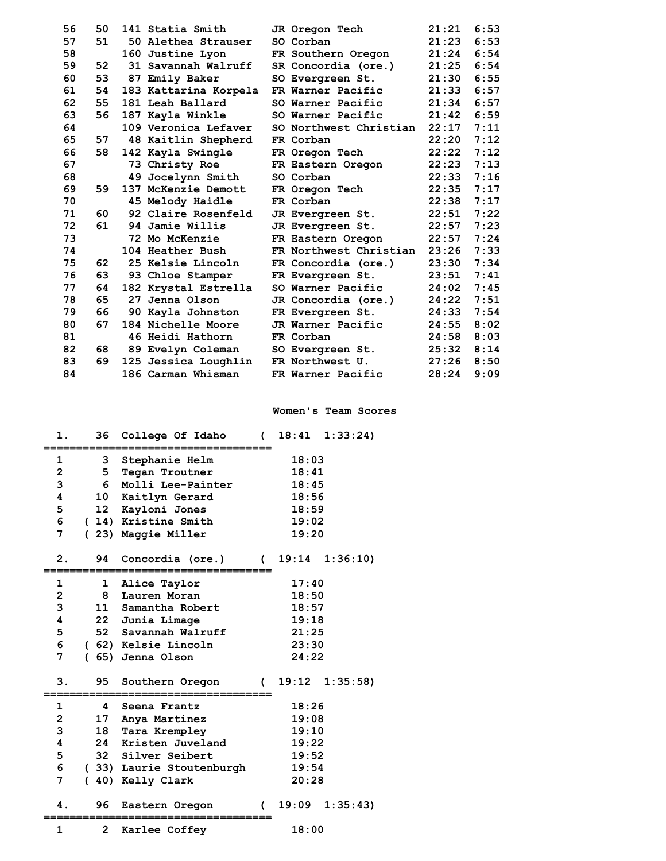| 56 | 50 | 141 Statia Smith      | JR Oregon Tech         | 21:21 | 6:53 |
|----|----|-----------------------|------------------------|-------|------|
| 57 | 51 | 50 Alethea Strauser   | SO Corban              | 21:23 | 6:53 |
| 58 |    | 160 Justine Lyon      | FR Southern Oregon     | 21:24 | 6:54 |
| 59 | 52 | 31 Savannah Walruff   | SR Concordia (ore.)    | 21:25 | 6:54 |
| 60 | 53 | 87 Emily Baker        | SO Evergreen St.       | 21:30 | 6:55 |
| 61 | 54 | 183 Kattarina Korpela | FR Warner Pacific      | 21:33 | 6:57 |
| 62 | 55 | 181 Leah Ballard      | SO Warner Pacific      | 21:34 | 6:57 |
| 63 | 56 | 187 Kayla Winkle      | SO Warner Pacific      | 21:42 | 6:59 |
| 64 |    | 109 Veronica Lefaver  | SO Northwest Christian | 22:17 | 7:11 |
| 65 | 57 | 48 Kaitlin Shepherd   | FR Corban              | 22:20 | 7:12 |
| 66 | 58 | 142 Kayla Swingle     | FR Oregon Tech         | 22:22 | 7:12 |
| 67 |    | 73 Christy Roe        | FR Eastern Oregon      | 22:23 | 7:13 |
| 68 |    | 49 Jocelynn Smith     | SO Corban              | 22:33 | 7:16 |
| 69 | 59 | 137 McKenzie Demott   | FR Oregon Tech         | 22:35 | 7:17 |
| 70 |    | 45 Melody Haidle      | FR Corban              | 22:38 | 7:17 |
| 71 | 60 | 92 Claire Rosenfeld   | JR Evergreen St.       | 22:51 | 7:22 |
| 72 | 61 | 94 Jamie Willis       | JR Evergreen St.       | 22:57 | 7:23 |
| 73 |    | 72 Mo McKenzie        | FR Eastern Oregon      | 22:57 | 7:24 |
| 74 |    | 104 Heather Bush      | FR Northwest Christian | 23:26 | 7:33 |
| 75 | 62 | 25 Kelsie Lincoln     | FR Concordia (ore.)    | 23:30 | 7:34 |
| 76 | 63 | 93 Chloe Stamper      | FR Evergreen St.       | 23:51 | 7:41 |
| 77 | 64 | 182 Krystal Estrella  | SO Warner Pacific      | 24:02 | 7:45 |
| 78 | 65 | 27 Jenna Olson        | JR Concordia (ore.)    | 24:22 | 7:51 |
| 79 | 66 | 90 Kayla Johnston     | FR Evergreen St.       | 24:33 | 7:54 |
| 80 | 67 | 184 Nichelle Moore    | JR Warner Pacific      | 24:55 | 8:02 |
| 81 |    | 46 Heidi Hathorn      | FR Corban              | 24:58 | 8:03 |
| 82 | 68 | 89 Evelyn Coleman     | SO Evergreen St.       | 25:32 | 8:14 |
| 83 | 69 | 125 Jessica Loughlin  | FR Northwest U.        | 27:26 | 8:50 |
| 84 |    | 186 Carman Whisman    | FR Warner Pacific      | 28:24 | 9:09 |

## **Women's Team Scores**

| 18:03<br>Stephanie Helm<br>1<br>3<br>$\overline{\mathbf{c}}$<br>5<br>18:41<br>Tegan Troutner<br>3<br>Molli Lee-Painter<br>6<br>18:45<br>4<br>10<br>Kaitlyn Gerard<br>18:56<br>5<br>12 <sup>2</sup><br>Kayloni Jones<br>18:59<br>6<br>(14) Kristine Smith<br>19:02<br>7<br>19:20<br>(23) Maggie Miller<br>2.<br>94<br>19:14<br>Concordia (ore.)<br>(<br>17:40<br>1<br>1<br>Alice Taylor<br>$\overline{\mathbf{c}}$<br>8<br>18:50<br>Lauren Moran<br>3<br>11<br>Samantha Robert<br>18:57<br>4<br>22<br>19:18<br>Junia Limage<br>5<br>52 Savannah Walruff<br>21:25<br>6<br>(62) Kelsie Lincoln<br>23:30<br>7<br>(65) Jenna Olson<br>24:22<br>3.<br>95<br>Southern Oregon<br>$19:12 \quad 1:35:58$<br>$\sqrt{2}$<br>$\mathbf{1}$<br>4<br>18:26<br>Seena Frantz<br>2<br>19:08<br>17<br>Anya Martinez<br>3<br>18<br>Tara Krempley<br>19:10<br>$\overline{\mathbf{4}}$<br>Kristen Juveland<br>24<br>19:22<br>5<br>32 Silver Seibert<br>19:52<br>6<br>19:54<br>(33) Laurie Stoutenburgh<br>7<br>40) Kelly Clark<br>20:28<br>$\mathcal{L}$ |              |                |               |       |         |
|-----------------------------------------------------------------------------------------------------------------------------------------------------------------------------------------------------------------------------------------------------------------------------------------------------------------------------------------------------------------------------------------------------------------------------------------------------------------------------------------------------------------------------------------------------------------------------------------------------------------------------------------------------------------------------------------------------------------------------------------------------------------------------------------------------------------------------------------------------------------------------------------------------------------------------------------------------------------------------------------------------------------------------------|--------------|----------------|---------------|-------|---------|
|                                                                                                                                                                                                                                                                                                                                                                                                                                                                                                                                                                                                                                                                                                                                                                                                                                                                                                                                                                                                                                   |              |                |               |       |         |
|                                                                                                                                                                                                                                                                                                                                                                                                                                                                                                                                                                                                                                                                                                                                                                                                                                                                                                                                                                                                                                   |              |                |               |       |         |
|                                                                                                                                                                                                                                                                                                                                                                                                                                                                                                                                                                                                                                                                                                                                                                                                                                                                                                                                                                                                                                   |              |                |               |       |         |
|                                                                                                                                                                                                                                                                                                                                                                                                                                                                                                                                                                                                                                                                                                                                                                                                                                                                                                                                                                                                                                   |              |                |               |       |         |
|                                                                                                                                                                                                                                                                                                                                                                                                                                                                                                                                                                                                                                                                                                                                                                                                                                                                                                                                                                                                                                   |              |                |               |       |         |
|                                                                                                                                                                                                                                                                                                                                                                                                                                                                                                                                                                                                                                                                                                                                                                                                                                                                                                                                                                                                                                   |              |                |               |       |         |
|                                                                                                                                                                                                                                                                                                                                                                                                                                                                                                                                                                                                                                                                                                                                                                                                                                                                                                                                                                                                                                   |              |                |               |       |         |
|                                                                                                                                                                                                                                                                                                                                                                                                                                                                                                                                                                                                                                                                                                                                                                                                                                                                                                                                                                                                                                   |              |                |               |       |         |
|                                                                                                                                                                                                                                                                                                                                                                                                                                                                                                                                                                                                                                                                                                                                                                                                                                                                                                                                                                                                                                   |              |                |               |       | 1:36:10 |
|                                                                                                                                                                                                                                                                                                                                                                                                                                                                                                                                                                                                                                                                                                                                                                                                                                                                                                                                                                                                                                   |              |                |               |       |         |
|                                                                                                                                                                                                                                                                                                                                                                                                                                                                                                                                                                                                                                                                                                                                                                                                                                                                                                                                                                                                                                   |              |                |               |       |         |
|                                                                                                                                                                                                                                                                                                                                                                                                                                                                                                                                                                                                                                                                                                                                                                                                                                                                                                                                                                                                                                   |              |                |               |       |         |
|                                                                                                                                                                                                                                                                                                                                                                                                                                                                                                                                                                                                                                                                                                                                                                                                                                                                                                                                                                                                                                   |              |                |               |       |         |
|                                                                                                                                                                                                                                                                                                                                                                                                                                                                                                                                                                                                                                                                                                                                                                                                                                                                                                                                                                                                                                   |              |                |               |       |         |
|                                                                                                                                                                                                                                                                                                                                                                                                                                                                                                                                                                                                                                                                                                                                                                                                                                                                                                                                                                                                                                   |              |                |               |       |         |
|                                                                                                                                                                                                                                                                                                                                                                                                                                                                                                                                                                                                                                                                                                                                                                                                                                                                                                                                                                                                                                   |              |                |               |       |         |
|                                                                                                                                                                                                                                                                                                                                                                                                                                                                                                                                                                                                                                                                                                                                                                                                                                                                                                                                                                                                                                   |              |                |               |       |         |
|                                                                                                                                                                                                                                                                                                                                                                                                                                                                                                                                                                                                                                                                                                                                                                                                                                                                                                                                                                                                                                   |              |                |               |       |         |
|                                                                                                                                                                                                                                                                                                                                                                                                                                                                                                                                                                                                                                                                                                                                                                                                                                                                                                                                                                                                                                   |              |                |               |       |         |
|                                                                                                                                                                                                                                                                                                                                                                                                                                                                                                                                                                                                                                                                                                                                                                                                                                                                                                                                                                                                                                   |              |                |               |       |         |
|                                                                                                                                                                                                                                                                                                                                                                                                                                                                                                                                                                                                                                                                                                                                                                                                                                                                                                                                                                                                                                   |              |                |               |       |         |
|                                                                                                                                                                                                                                                                                                                                                                                                                                                                                                                                                                                                                                                                                                                                                                                                                                                                                                                                                                                                                                   |              |                |               |       |         |
|                                                                                                                                                                                                                                                                                                                                                                                                                                                                                                                                                                                                                                                                                                                                                                                                                                                                                                                                                                                                                                   |              |                |               |       |         |
|                                                                                                                                                                                                                                                                                                                                                                                                                                                                                                                                                                                                                                                                                                                                                                                                                                                                                                                                                                                                                                   |              |                |               |       |         |
|                                                                                                                                                                                                                                                                                                                                                                                                                                                                                                                                                                                                                                                                                                                                                                                                                                                                                                                                                                                                                                   |              |                |               |       |         |
|                                                                                                                                                                                                                                                                                                                                                                                                                                                                                                                                                                                                                                                                                                                                                                                                                                                                                                                                                                                                                                   |              |                |               |       |         |
| 19:09<br>4.<br>96<br>Eastern Oregon<br>$\epsilon$                                                                                                                                                                                                                                                                                                                                                                                                                                                                                                                                                                                                                                                                                                                                                                                                                                                                                                                                                                                 |              |                |               |       | 1:35:43 |
|                                                                                                                                                                                                                                                                                                                                                                                                                                                                                                                                                                                                                                                                                                                                                                                                                                                                                                                                                                                                                                   |              |                |               |       |         |
|                                                                                                                                                                                                                                                                                                                                                                                                                                                                                                                                                                                                                                                                                                                                                                                                                                                                                                                                                                                                                                   | $\mathbf{1}$ | $\overline{2}$ | Karlee Coffey | 18:00 |         |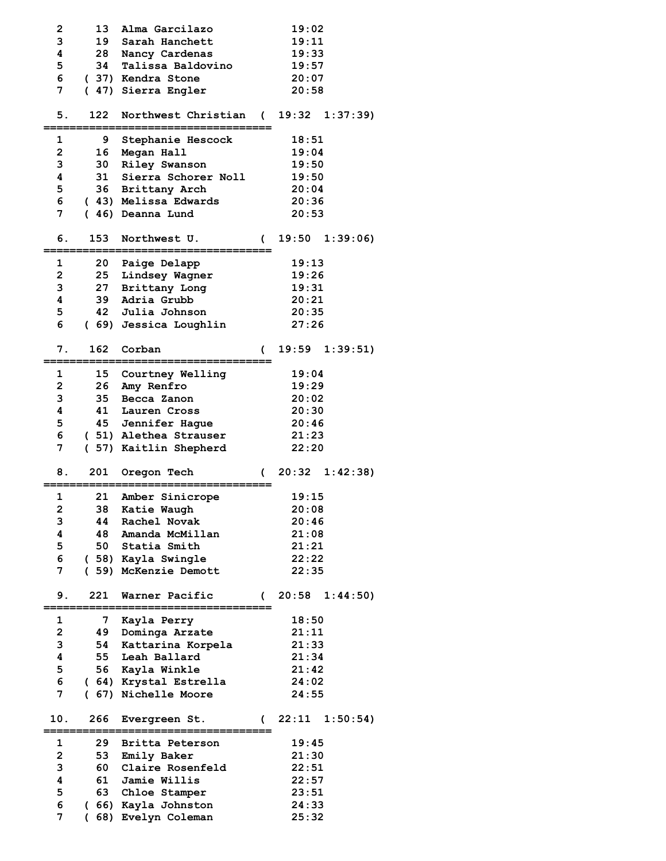| 2                       | 13              | Alma Garcilazo                             |              | 19:02          |                       |
|-------------------------|-----------------|--------------------------------------------|--------------|----------------|-----------------------|
| 3                       |                 | 19 Sarah Hanchett                          |              | 19:11          |                       |
| 4                       | 28              | Nancy Cardenas                             |              | 19:33          |                       |
| 5                       | 34              | Talissa Baldovino                          |              | 19:57          |                       |
|                         |                 | (37) Kendra Stone                          |              |                |                       |
| 6                       |                 |                                            |              | 20:07          |                       |
| 7                       |                 | ( 47) Sierra Engler                        |              | 20:58          |                       |
|                         |                 |                                            |              |                |                       |
| 5.                      | 122             | Northwest Christian                        | $\sqrt{2}$   |                | $19:32 \quad 1:37:39$ |
|                         |                 |                                            |              |                |                       |
| 1                       | 9               | Stephanie Hescock                          |              | 18:51          |                       |
| $\overline{\mathbf{c}}$ | 16 <sup>°</sup> | Megan Hall                                 |              | 19:04          |                       |
| 3                       |                 | 30 Riley Swanson                           |              | 19:50          |                       |
| 4                       | 31              | Sierra Schorer Noll                        |              | 19:50          |                       |
| 5                       |                 | 36 Brittany Arch                           |              | 20:04          |                       |
| 6                       |                 | (43) Melissa Edwards                       |              | 20:36          |                       |
| 7                       |                 | (46) Deanna Lund                           |              | 20:53          |                       |
|                         |                 |                                            |              |                |                       |
| 6.                      | 153             | Northwest U.                               |              |                | $19:50$ $1:39:06$     |
|                         |                 |                                            | <sub>(</sub> |                |                       |
|                         |                 |                                            |              |                |                       |
| 1                       |                 | 20 Paige Delapp                            |              | 19:13          |                       |
| $\overline{\mathbf{c}}$ | 25              | Lindsey Wagner                             |              | 19:26          |                       |
| 3                       | 27              | Brittany Long                              |              | 19:31          |                       |
| 4                       |                 | 39 Adria Grubb                             |              | 20:21          |                       |
| 5                       |                 | 42 Julia Johnson                           |              | 20:35          |                       |
| 6                       |                 | (69) Jessica Loughlin                      |              | 27:26          |                       |
|                         |                 |                                            |              |                |                       |
| 7.                      | 162             | Corban                                     | €            |                | 19:59 1:39:51)        |
|                         |                 |                                            |              |                |                       |
| 1                       | 15 <sub>1</sub> | <b>Courtney Welling</b>                    |              | 19:04          |                       |
| $\overline{\mathbf{c}}$ |                 | 26 Amy Renfro                              |              | 19:29          |                       |
| 3                       | 35              | Becca Zanon                                |              | 20:02          |                       |
| 4                       | 41              |                                            |              |                |                       |
|                         |                 | Lauren Cross                               |              | 20:30          |                       |
| 5                       |                 | 45 Jennifer Hague                          |              | 20:46          |                       |
|                         |                 |                                            |              |                |                       |
| 6                       |                 | (51) Alethea Strauser                      |              | 21:23          |                       |
| 7                       |                 | ( 57) Kaitlin Shepherd                     |              | 22:20          |                       |
|                         |                 |                                            |              |                |                       |
| 8.                      | 201             | Oregon Tech                                | C            |                | $20:32 \quad 1:42:38$ |
|                         |                 |                                            |              |                |                       |
| $\mathbf{1}$            | 21              | Amber Sinicrope                            |              | 19:15          |                       |
| $\overline{\mathbf{c}}$ |                 | 38 Katie Waugh                             |              | 20:08          |                       |
| 3                       |                 | 44 Rachel Novak                            |              | 20:46          |                       |
| 4                       |                 | 48 Amanda McMillan                         |              | 21:08          |                       |
|                         |                 |                                            |              |                |                       |
| 5                       |                 | 50 Statia Smith                            |              | 21:21          |                       |
| 6                       |                 | (58) Kayla Swingle                         |              | 22:22          |                       |
| 7                       |                 | (59) McKenzie Demott                       |              | 22:35          |                       |
|                         |                 |                                            |              |                |                       |
| 9.                      | 221             | Warner Pacific<br>-================        |              |                | $(20:58 \t1:44:50)$   |
|                         |                 |                                            |              |                |                       |
| 1                       | 7               | Kayla Perry                                |              | 18:50          |                       |
| $\mathbf{2}$            |                 | 49 Dominga Arzate                          |              | 21:11          |                       |
| 3                       |                 | 54 Kattarina Korpela                       |              | 21:33          |                       |
| 4                       |                 | 55 Leah Ballard                            |              | 21:34          |                       |
| 5                       |                 | 56 Kayla Winkle                            |              | 21:42          |                       |
| 6                       |                 | ( 64) Krystal Estrella                     |              | 24:02          |                       |
| 7                       |                 | (67) Nichelle Moore                        |              | 24:55          |                       |
|                         |                 |                                            |              |                |                       |
| 10.                     | 266             | Evergreen St.                              |              |                | $(22:11 \t1:50:54)$   |
|                         |                 |                                            |              |                |                       |
| 1                       | 29              | Britta Peterson                            |              | 19:45          |                       |
| $\overline{2}$          |                 | 53 Emily Baker                             |              | 21:30          |                       |
|                         |                 |                                            |              |                |                       |
| 3<br>4                  |                 | 60 Claire Rosenfeld                        |              | 22:51          |                       |
|                         |                 | 61 Jamie Willis                            |              | 22:57          |                       |
| 5                       |                 | 63 Chloe Stamper                           |              | 23:51          |                       |
| 6<br>7                  |                 | (66) Kayla Johnston<br>(68) Evelyn Coleman |              | 24:33<br>25:32 |                       |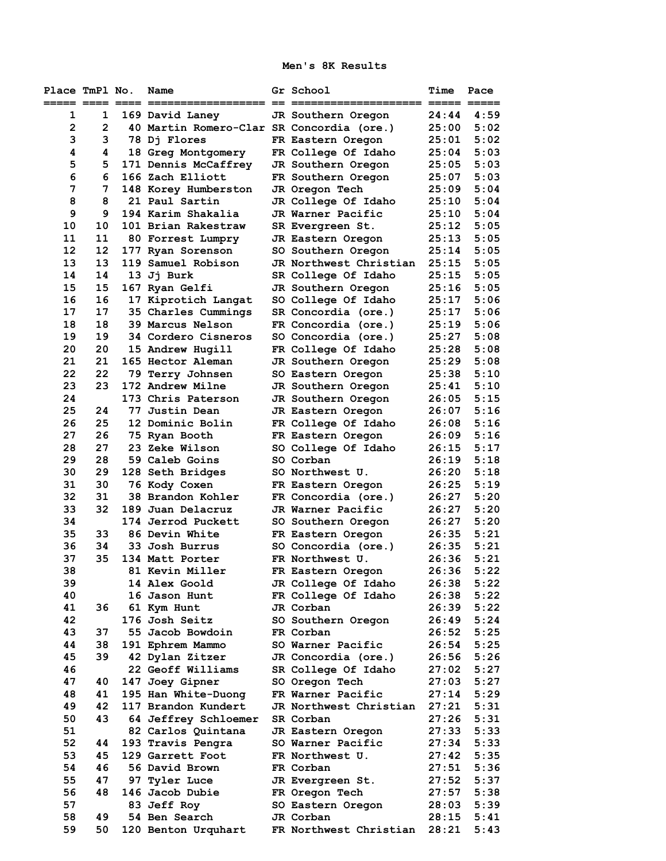**Men's 8K Results** 

| Place TmPl No.<br>===== ==== ==== =: |          | Name                                      | Gr School<br>----                        | Time<br>$=$ ==== $=$ ==== | Pace         |
|--------------------------------------|----------|-------------------------------------------|------------------------------------------|---------------------------|--------------|
| 1                                    | 1        | 169 David Laney                           | JR Southern Oregon                       | 24:44                     | 4:59         |
| $\overline{2}$                       | 2        | 40 Martin Romero-Clar SR Concordia (ore.) |                                          | 25:00                     | 5:02         |
| 3                                    | 3        | 78 Di Flores                              | FR Eastern Oregon                        | 25:01                     | 5:02         |
| 4                                    | 4        | 18 Greg Montgomery                        | FR College Of Idaho                      | 25:04                     | 5:03         |
| 5                                    | 5        | 171 Dennis McCaffrey                      | JR Southern Oregon                       | 25:05                     | 5:03         |
| 6                                    | 6        | 166 Zach Elliott                          | FR Southern Oregon                       | 25:07                     | 5:03         |
| 7                                    | 7        | 148 Korey Humberston                      | JR Oregon Tech                           | 25:09                     | 5:04         |
| 8                                    | 8        | 21 Paul Sartin                            | JR College Of Idaho                      | 25:10                     | 5:04         |
| 9                                    | 9        | 194 Karim Shakalia                        | JR Warner Pacific                        | 25:10                     | 5:04         |
| 10                                   | 10       | 101 Brian Rakestraw                       | SR Evergreen St.                         | 25:12                     | 5:05         |
| 11                                   | 11       | 80 Forrest Lumpry                         | JR Eastern Oregon                        | 25:13                     | 5:05         |
| 12                                   | 12       | 177 Ryan Sorenson                         | SO Southern Oregon                       | 25:14                     | 5:05         |
| 13                                   | 13       | 119 Samuel Robison                        | JR Northwest Christian                   | 25:15                     | 5:05         |
| 14                                   | 14       | 13 Ji Burk                                | SR College Of Idaho                      | 25:15                     | 5:05         |
| 15                                   | 15       | 167 Ryan Gelfi                            | JR Southern Oregon                       | 25:16                     | 5:05         |
| 16                                   | 16       | 17 Kiprotich Langat                       | SO College Of Idaho                      | 25:17                     | 5:06         |
| 17                                   | 17       | 35 Charles Cummings                       | SR Concordia (ore.)                      | 25:17                     | 5:06         |
| 18                                   | 18       | 39 Marcus Nelson                          | FR Concordia (ore.)                      | 25:19                     | 5:06         |
| 19                                   | 19       | 34 Cordero Cisneros                       | SO Concordia (ore.)                      | 25:27                     | 5:08         |
| 20                                   | 20       | 15 Andrew Hugill                          | FR College Of Idaho                      | 25:28                     | 5:08         |
| 21                                   | 21       | 165 Hector Aleman                         | JR Southern Oregon                       | 25:29                     | 5:08         |
| 22                                   | 22       | 79 Terry Johnsen                          | SO Eastern Oregon                        | 25:38                     | 5:10         |
| 23                                   | 23       | 172 Andrew Milne                          | JR Southern Oregon                       | 25:41                     | 5:10         |
| 24                                   |          | 173 Chris Paterson                        | JR Southern Oregon                       | 26:05                     | 5:15         |
| 25                                   | 24       | 77 Justin Dean                            | JR Eastern Oregon                        | 26:07                     | 5:16         |
| 26                                   | 25       | 12 Dominic Bolin                          | FR College Of Idaho                      | 26:08                     | 5:16         |
| 27                                   | 26       | 75 Ryan Booth                             | FR Eastern Oregon                        | 26:09                     | 5:16         |
| 28                                   | 27       | <b>23 Zeke Wilson</b>                     | SO College Of Idaho                      | 26:15                     | 5:17         |
| 29                                   | 28       | 59 Caleb Goins                            | SO Corban                                | 26:19                     | 5:18         |
| 30                                   | 29       | 128 Seth Bridges                          | SO Northwest U.                          | 26:20                     | 5:18         |
| 31<br>32                             | 30<br>31 | 76 Kody Coxen<br>38 Brandon Kohler        | FR Eastern Oregon                        | 26:25<br>26:27            | 5:19<br>5:20 |
| 33                                   | 32       | 189 Juan Delacruz                         | FR Concordia (ore.)<br>JR Warner Pacific | 26:27                     | 5:20         |
| 34                                   |          | 174 Jerrod Puckett                        | SO Southern Oregon                       | 26:27                     | 5:20         |
| 35                                   | 33       | 86 Devin White                            | FR Eastern Oregon                        | 26:35                     | 5:21         |
| 36                                   | 34       | 33 Josh Burrus                            | SO Concordia (ore.)                      | 26:35                     | 5:21         |
| 37                                   | 35       | 134 Matt Porter                           | FR Northwest U.                          | 26:36                     | 5:21         |
| 38                                   |          | 81 Kevin Miller                           | FR Eastern Oregon                        | 26:36                     | 5:22         |
| 39                                   |          | 14 Alex Goold                             | JR College Of Idaho                      | 26:38                     | 5:22         |
| 40                                   |          | 16 Jason Hunt                             | FR College Of Idaho                      | 26:38                     | 5:22         |
| 41                                   | 36       | 61 Kym Hunt                               | JR Corban                                | 26:39                     | 5:22         |
| 42                                   |          | 176 Josh Seitz                            | SO Southern Oregon                       | 26:49                     | 5:24         |
| 43                                   | 37       | 55 Jacob Bowdoin                          | FR Corban                                | 26:52                     | 5:25         |
| 44                                   | 38       | 191 Ephrem Mammo                          | SO Warner Pacific                        | 26:54                     | 5:25         |
| 45                                   | 39       | 42 Dylan Zitzer                           | JR Concordia (ore.)                      | 26:56                     | 5:26         |
| 46                                   |          | 22 Geoff Williams                         | SR College Of Idaho                      | 27:02                     | 5:27         |
| 47                                   | 40       | 147 Joey Gipner                           | SO Oregon Tech                           | 27:03                     | 5:27         |
| 48                                   | 41       | 195 Han White-Duong                       | FR Warner Pacific                        | 27:14                     | 5:29         |
| 49                                   | 42       | 117 Brandon Kundert                       | JR Northwest Christian                   | 27:21                     | 5:31         |
| 50                                   | 43       | 64 Jeffrey Schloemer                      | SR Corban                                | 27:26                     | 5:31         |
| 51                                   |          | 82 Carlos Quintana                        | JR Eastern Oregon                        | 27:33                     | 5:33         |
| 52                                   | 44       | 193 Travis Pengra                         | SO Warner Pacific                        | 27:34                     | 5:33         |
| 53                                   | 45       | 129 Garrett Foot                          | FR Northwest U.                          | 27:42                     | 5:35         |
| 54                                   | 46       | 56 David Brown                            | FR Corban                                | 27:51                     | 5:36         |
| 55                                   | 47       | 97 Tyler Luce                             | JR Evergreen St.                         | 27:52                     | 5:37         |
| 56                                   | 48       | 146 Jacob Dubie                           | FR Oregon Tech                           | 27:57                     | 5:38         |
| 57                                   |          | 83 Jeff Roy                               | SO Eastern Oregon                        | 28:03                     | 5:39         |
| 58                                   | 49       | 54 Ben Search                             | JR Corban                                | 28:15                     | 5:41         |
| 59                                   | 50       | 120 Benton Urquhart                       | FR Northwest Christian                   | 28:21                     | 5:43         |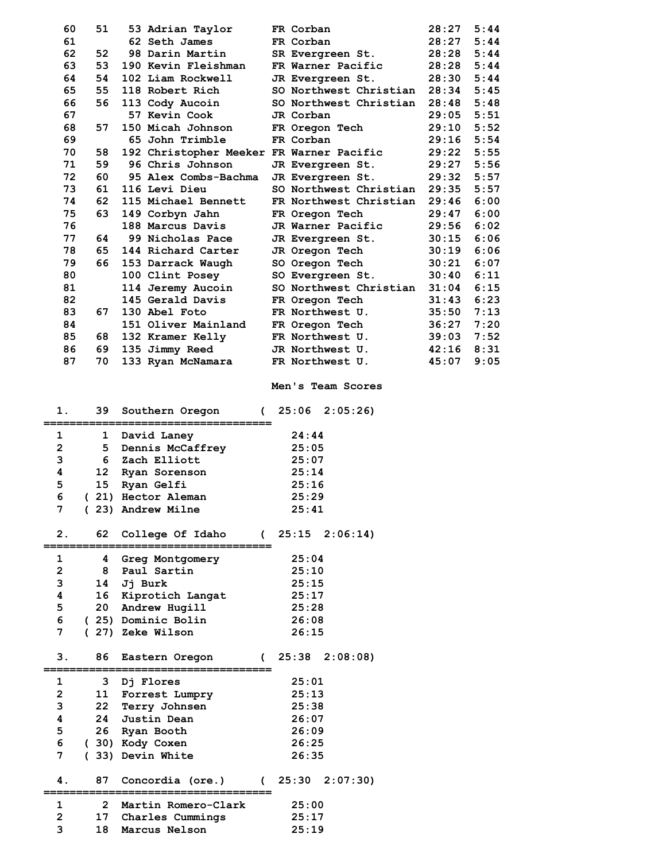| 60             | 51              |         | 53 Adrian Taylor                         | FR Corban              | 28:27 | 5:44 |
|----------------|-----------------|---------|------------------------------------------|------------------------|-------|------|
| 61             |                 |         | 62 Seth James                            | FR Corban              | 28:27 | 5:44 |
| 62             | 52              |         | 98 Darin Martin                          | SR Evergreen St.       | 28:28 | 5:44 |
| 63             | 53              |         | 190 Kevin Fleishman                      | FR Warner Pacific      | 28:28 | 5:44 |
| 64             | 54              |         | 102 Liam Rockwell                        | JR Evergreen St.       | 28:30 | 5:44 |
| 65             | 55              |         | 118 Robert Rich                          | SO Northwest Christian | 28:34 | 5:45 |
| 66             | 56              |         | 113 Cody Aucoin                          | SO Northwest Christian | 28:48 | 5:48 |
| 67             |                 |         | 57 Kevin Cook                            | JR Corban              | 29:05 | 5:51 |
| 68             | 57              |         | 150 Micah Johnson                        | FR Oregon Tech         | 29:10 | 5:52 |
| 69             |                 |         | 65 John Trimble                          | FR Corban              | 29:16 | 5:54 |
| 70             | 58              |         | 192 Christopher Meeker FR Warner Pacific |                        | 29:22 | 5:55 |
| 71             | 59              |         | 96 Chris Johnson                         | JR Evergreen St.       | 29:27 | 5:56 |
| 72             | 60              |         | 95 Alex Combs-Bachma                     | JR Evergreen St.       | 29:32 | 5:57 |
| 73             | 61              |         | 116 Levi Dieu                            | SO Northwest Christian | 29:35 | 5:57 |
| 74             | 62              |         | 115 Michael Bennett                      | FR Northwest Christian | 29:46 | 6:00 |
| 75             | 63              |         | 149 Corbyn Jahn                          | FR Oregon Tech         | 29:47 | 6:00 |
| 76             |                 |         | 188 Marcus Davis                         | JR Warner Pacific      | 29:56 | 6:02 |
| 77             | 64              |         | 99 Nicholas Pace                         | JR Evergreen St.       | 30:15 | 6:06 |
| 78             | 65              |         | 144 Richard Carter                       | JR Oregon Tech         | 30:19 | 6:06 |
| 79             | 66              |         | 153 Darrack Waugh                        | SO Oregon Tech         | 30:21 | 6:07 |
| 80             |                 |         | 100 Clint Posey                          | SO Evergreen St.       | 30:40 | 6:11 |
| 81             |                 |         | 114 Jeremy Aucoin                        | SO Northwest Christian | 31:04 | 6:15 |
| 82             |                 |         | 145 Gerald Davis                         | FR Oregon Tech         | 31:43 | 6:23 |
| 83             | 67              |         | 130 Abel Foto                            | FR Northwest U.        | 35:50 | 7:13 |
| 84             |                 |         | 151 Oliver Mainland                      | FR Oregon Tech         | 36:27 | 7:20 |
| 85             | 68              |         | 132 Kramer Kelly                         | FR Northwest U.        | 39:03 | 7:52 |
| 86             | 69.             |         | 135 Jimmy Reed                           | JR Northwest U.        | 42:16 | 8:31 |
| 87             | 70              |         | 133 Ryan McNamara                        | FR Northwest U.        | 45:07 | 9:05 |
|                |                 |         |                                          |                        |       |      |
|                |                 |         |                                          |                        |       |      |
|                |                 |         |                                          | Men's Team Scores      |       |      |
|                |                 |         |                                          |                        |       |      |
| 1.             | 39              |         | Southern Oregon                          | (25:062:05:26)         |       |      |
| 1              | 1               |         |                                          | 24:44                  |       |      |
| $\overline{2}$ | 5.              |         | David Laney                              | 25:05                  |       |      |
| 3              | 6               |         | Dennis McCaffrey<br>Zach Elliott         | 25:07                  |       |      |
| 4              | 12              |         | Ryan Sorenson                            | 25:14                  |       |      |
| 5              | 15              |         | Ryan Gelfi                               | 25:16                  |       |      |
| 6              |                 |         | (21) Hector Aleman                       | 25:29                  |       |      |
| 7              |                 |         | (23) Andrew Milne                        | 25:41                  |       |      |
|                |                 |         |                                          |                        |       |      |
| 2.             | 62              |         | College Of Idaho                         | $(25:15 \t2:06:14)$    |       |      |
|                |                 |         | ==========                               |                        |       |      |
| $\mathbf 1$    | 4               |         | Greg Montgomery                          | 25:04                  |       |      |
| $\mathbf{2}$   | 8               |         | Paul Sartin                              | 25:10                  |       |      |
| 3              | 14              | Jj Burk |                                          | 25:15                  |       |      |
| 4              |                 |         | 16 Kiprotich Langat                      | 25:17                  |       |      |
| 5              |                 |         | 20 Andrew Hugill                         | 25:28                  |       |      |
| 6              |                 |         | (25) Dominic Bolin                       | 26:08                  |       |      |
| 7 <sup>7</sup> |                 |         | (27) Zeke Wilson                         | 26:15                  |       |      |
|                |                 |         |                                          |                        |       |      |
| 3.             | 86              |         | Eastern Oregon                           | (25:382:08:08)         |       |      |
| $\mathbf 1$    | 3               |         | Dj Flores                                | 25:01                  |       |      |
| $\overline{2}$ | 11              |         | Forrest Lumpry                           | 25:13                  |       |      |
| 3              | 22 <sub>2</sub> |         | Terry Johnsen                            | 25:38                  |       |      |
| 4              | 24              |         | Justin Dean                              | 26:07<br>26:09         |       |      |

 **6 ( 30) Kody Coxen 26:25 7 ( 33) Devin White 26:35** 

 **1 2 Martin Romero-Clark 25:00 2 17 Charles Cummings 25:17 3 18 Marcus Nelson 25:19** 

**===================================** 

 **4. 87 Concordia (ore.) ( 25:30 2:07:30)**